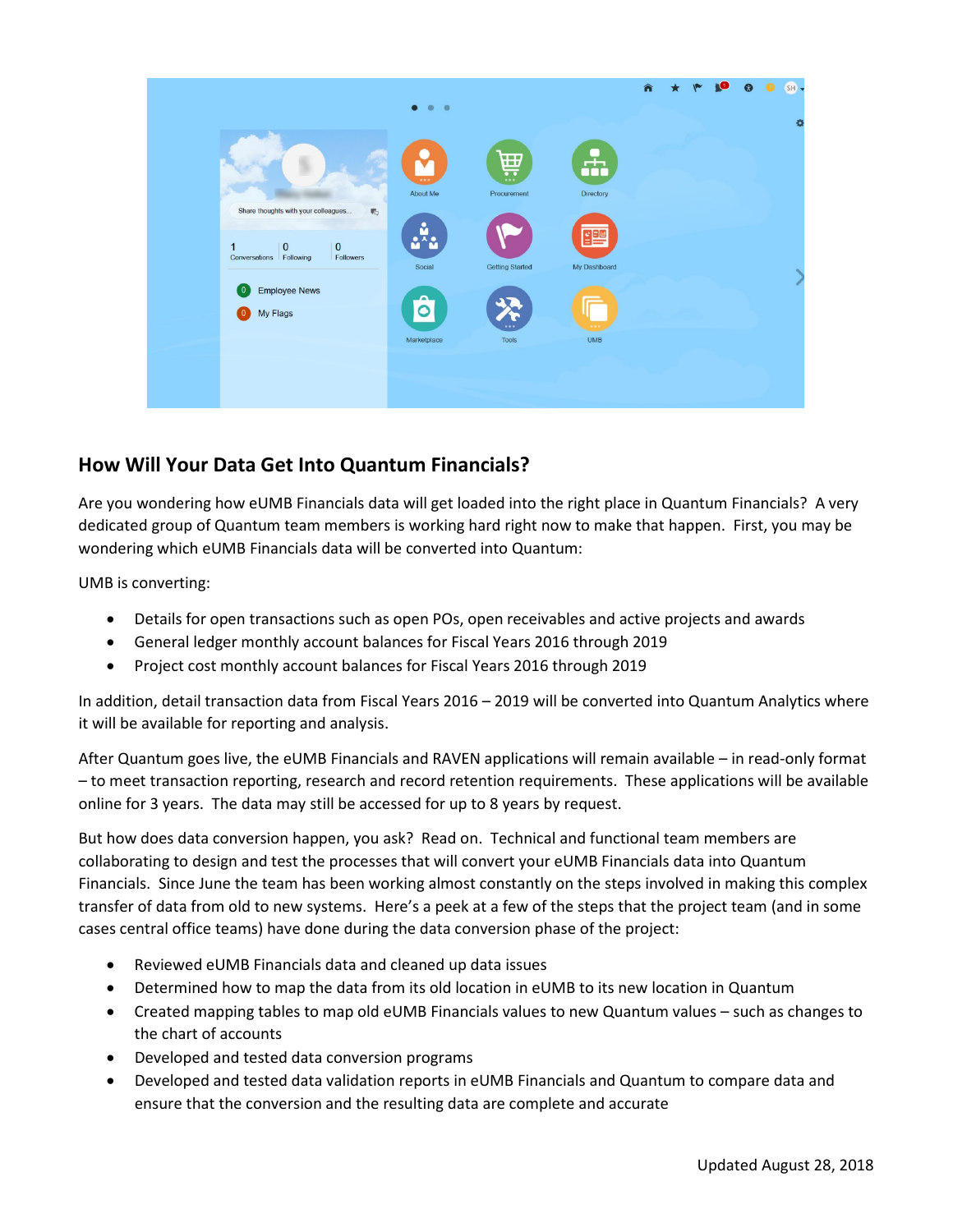

## **How Will Your Data Get Into Quantum Financials?**

Are you wondering how eUMB Financials data will get loaded into the right place in Quantum Financials? A very dedicated group of Quantum team members is working hard right now to make that happen. First, you may be wondering which eUMB Financials data will be converted into Quantum:

UMB is converting:

- Details for open transactions such as open POs, open receivables and active projects and awards
- General ledger monthly account balances for Fiscal Years 2016 through 2019
- Project cost monthly account balances for Fiscal Years 2016 through 2019

In addition, detail transaction data from Fiscal Years 2016 – 2019 will be converted into Quantum Analytics where it will be available for reporting and analysis.

After Quantum goes live, the eUMB Financials and RAVEN applications will remain available – in read-only format – to meet transaction reporting, research and record retention requirements. These applications will be available online for 3 years. The data may still be accessed for up to 8 years by request.

But how does data conversion happen, you ask? Read on. Technical and functional team members are collaborating to design and test the processes that will convert your eUMB Financials data into Quantum Financials. Since June the team has been working almost constantly on the steps involved in making this complex transfer of data from old to new systems. Here's a peek at a few of the steps that the project team (and in some cases central office teams) have done during the data conversion phase of the project:

- Reviewed eUMB Financials data and cleaned up data issues
- Determined how to map the data from its old location in eUMB to its new location in Quantum
- Created mapping tables to map old eUMB Financials values to new Quantum values such as changes to the chart of accounts
- Developed and tested data conversion programs
- Developed and tested data validation reports in eUMB Financials and Quantum to compare data and ensure that the conversion and the resulting data are complete and accurate